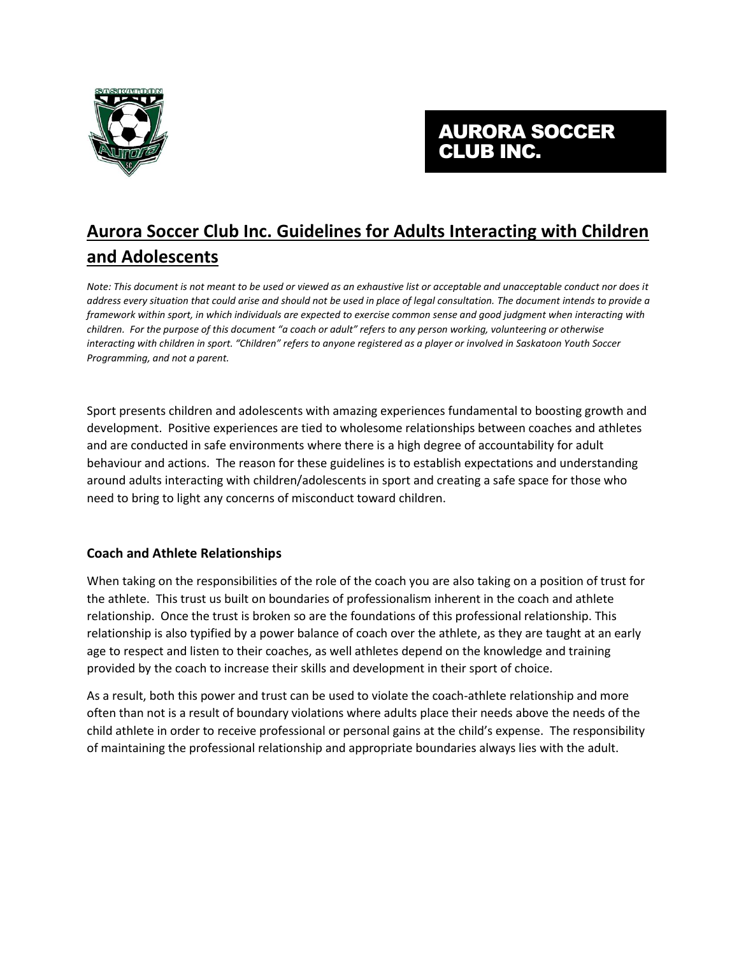

# AURORA SOCCER CLUB INC.

# **Aurora Soccer Club Inc. Guidelines for Adults Interacting with Children and Adolescents**

*Note: This document is not meant to be used or viewed as an exhaustive list or acceptable and unacceptable conduct nor does it address every situation that could arise and should not be used in place of legal consultation. The document intends to provide a framework within sport, in which individuals are expected to exercise common sense and good judgment when interacting with children. For the purpose of this document "a coach or adult" refers to any person working, volunteering or otherwise interacting with children in sport. "Children" refers to anyone registered as a player or involved in Saskatoon Youth Soccer Programming, and not a parent.*

Sport presents children and adolescents with amazing experiences fundamental to boosting growth and development. Positive experiences are tied to wholesome relationships between coaches and athletes and are conducted in safe environments where there is a high degree of accountability for adult behaviour and actions. The reason for these guidelines is to establish expectations and understanding around adults interacting with children/adolescents in sport and creating a safe space for those who need to bring to light any concerns of misconduct toward children.

# **Coach and Athlete Relationships**

When taking on the responsibilities of the role of the coach you are also taking on a position of trust for the athlete. This trust us built on boundaries of professionalism inherent in the coach and athlete relationship. Once the trust is broken so are the foundations of this professional relationship. This relationship is also typified by a power balance of coach over the athlete, as they are taught at an early age to respect and listen to their coaches, as well athletes depend on the knowledge and training provided by the coach to increase their skills and development in their sport of choice.

As a result, both this power and trust can be used to violate the coach-athlete relationship and more often than not is a result of boundary violations where adults place their needs above the needs of the child athlete in order to receive professional or personal gains at the child's expense. The responsibility of maintaining the professional relationship and appropriate boundaries always lies with the adult.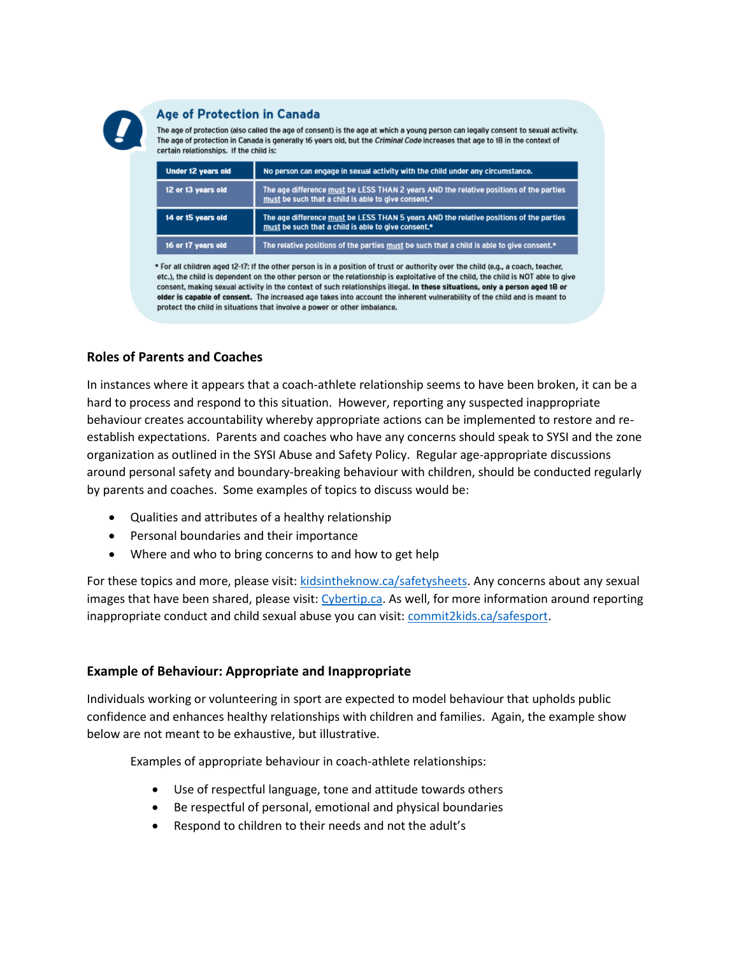

#### **Age of Protection in Canada**

The age of protection (also called the age of consent) is the age at which a young person can legally consent to sexual activity. The age of protection in Canada is generally 16 years old, but the Criminal Code increases that age to 18 in the context of certain relationships. If the child is:

| Under 12 years old | No person can engage in sexual activity with the child under any circumstance.                                                                |
|--------------------|-----------------------------------------------------------------------------------------------------------------------------------------------|
| 12 or 13 years old | The age difference must be LESS THAN 2 years AND the relative positions of the parties<br>must be such that a child is able to give consent.* |
| 14 or 15 years old | The age difference must be LESS THAN 5 years AND the relative positions of the parties<br>must be such that a child is able to give consent.* |
| 16 or 17 years old | The relative positions of the parties must be such that a child is able to give consent.*                                                     |

\* For all children aged 12-17: If the other person is in a position of trust or authority over the child (e.g., a coach, teacher, etc.), the child is dependent on the other person or the relationship is exploitative of the child, the child is NOT able to give consent, making sexual activity in the context of such relationships illegal. In these situations, only a person aged 18 or older is capable of consent. The increased age takes into account the inherent vulnerability of the child and is meant to protect the child in situations that involve a power or other imbalance.

## **Roles of Parents and Coaches**

In instances where it appears that a coach-athlete relationship seems to have been broken, it can be a hard to process and respond to this situation. However, reporting any suspected inappropriate behaviour creates accountability whereby appropriate actions can be implemented to restore and reestablish expectations. Parents and coaches who have any concerns should speak to SYSI and the zone organization as outlined in the SYSI Abuse and Safety Policy. Regular age-appropriate discussions around personal safety and boundary-breaking behaviour with children, should be conducted regularly by parents and coaches. Some examples of topics to discuss would be:

- Qualities and attributes of a healthy relationship
- Personal boundaries and their importance
- Where and who to bring concerns to and how to get help

For these topics and more, please visit: [kidsintheknow.ca/safetysheets.](file:///C:/Users/Kevin/Documents/Aurora%20Soccer/Club%20Licensing/Club%20LIcensing/kidsintheknow.ca/safetysheets) Any concerns about any sexual images that have been shared, please visit: [Cybertip.ca.](file:///C:/Users/Kevin/Documents/Aurora%20Soccer/Club%20Licensing/Club%20LIcensing/Cybertip.ca) As well, for more information around reporting inappropriate conduct and child sexual abuse you can visit: [commit2kids.ca/safesport.](file:///C:/Users/Kevin/Documents/Aurora%20Soccer/Club%20Licensing/Club%20LIcensing/commit2kids.ca/safesport)

### **Example of Behaviour: Appropriate and Inappropriate**

Individuals working or volunteering in sport are expected to model behaviour that upholds public confidence and enhances healthy relationships with children and families. Again, the example show below are not meant to be exhaustive, but illustrative.

Examples of appropriate behaviour in coach-athlete relationships:

- Use of respectful language, tone and attitude towards others
- Be respectful of personal, emotional and physical boundaries
- Respond to children to their needs and not the adult's